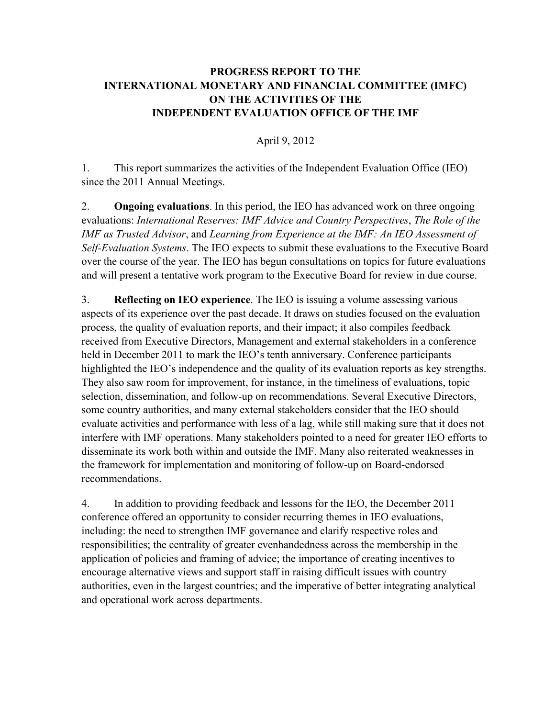## **PROGRESS REPORT TO THE INTERNATIONAL MONETARY AND FINANCIAL COMMITTEE (IMFC) ON THE ACTIVITIES OF THE INDEPENDENT EVALUATION OFFICE OF THE IMF**

April 9, 2012

1. This report summarizes the activities of the Independent Evaluation Office (IEO) since the 2011 Annual Meetings.

2. **Ongoing evaluations**. In this period, the IEO has advanced work on three ongoing evaluations: *International Reserves: IMF Advice and Country Perspectives*, *The Role of the IMF as Trusted Advisor*, and *Learning from Experience at the IMF: An IEO Assessment of Self-Evaluation Systems*. The IEO expects to submit these evaluations to the Executive Board over the course of the year. The IEO has begun consultations on topics for future evaluations and will present a tentative work program to the Executive Board for review in due course.

3. **Reflecting on IEO experience**. The IEO is issuing a volume assessing various aspects of its experience over the past decade. It draws on studies focused on the evaluation process, the quality of evaluation reports, and their impact; it also compiles feedback received from Executive Directors, Management and external stakeholders in a conference held in December 2011 to mark the IEO's tenth anniversary. Conference participants highlighted the IEO's independence and the quality of its evaluation reports as key strengths. They also saw room for improvement, for instance, in the timeliness of evaluations, topic selection, dissemination, and follow-up on recommendations. Several Executive Directors, some country authorities, and many external stakeholders consider that the IEO should evaluate activities and performance with less of a lag, while still making sure that it does not interfere with IMF operations. Many stakeholders pointed to a need for greater IEO efforts to disseminate its work both within and outside the IMF. Many also reiterated weaknesses in the framework for implementation and monitoring of follow-up on Board-endorsed recommendations.

4. In addition to providing feedback and lessons for the IEO, the December 2011 conference offered an opportunity to consider recurring themes in IEO evaluations, including: the need to strengthen IMF governance and clarify respective roles and responsibilities; the centrality of greater evenhandedness across the membership in the application of policies and framing of advice; the importance of creating incentives to encourage alternative views and support staff in raising difficult issues with country authorities, even in the largest countries; and the imperative of better integrating analytical and operational work across departments.